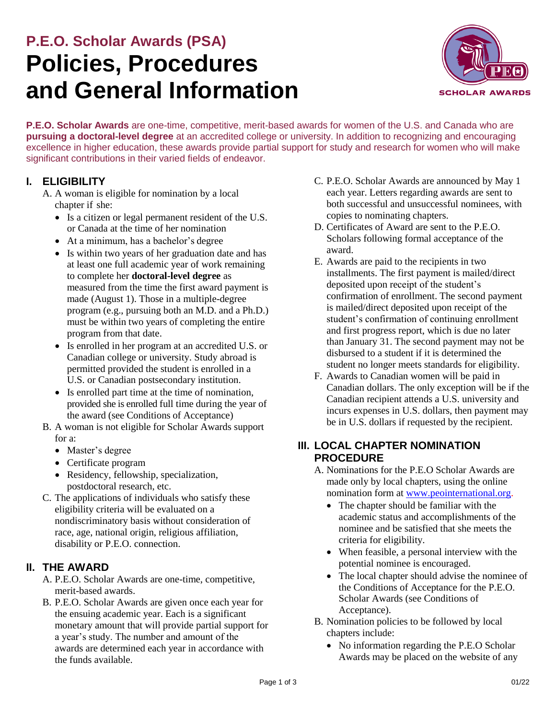# **P.E.O. Scholar Awards (PSA) Policies, Procedures and General Information**



**P.E.O. Scholar Awards** are one-time, competitive, merit-based awards for women of the U.S. and Canada who are **pursuing a doctoral-level degree** at an accredited college or university. In addition to recognizing and encouraging excellence in higher education, these awards provide partial support for study and research for women who will make significant contributions in their varied fields of endeavor.

## **I. ELIGIBILITY**

- A. A woman is eligible for nomination by a local chapter if she:
	- Is a citizen or legal permanent resident of the U.S. or Canada at the time of her nomination
	- At a minimum, has a bachelor's degree
	- Is within two years of her graduation date and has at least one full academic year of work remaining to complete her **doctoral-level degree** as measured from the time the first award payment is made (August 1). Those in a multiple-degree program (e.g., pursuing both an M.D. and a Ph.D.) must be within two years of completing the entire program from that date.
	- Is enrolled in her program at an accredited U.S. or Canadian college or university. Study abroad is permitted provided the student is enrolled in a U.S. or Canadian postsecondary institution.
	- Is enrolled part time at the time of nomination, provided she is enrolled full time during the year of the award (see Conditions of Acceptance)
- B. A woman is not eligible for Scholar Awards support for a:
	- Master's degree
	- Certificate program
	- Residency, fellowship, specialization, postdoctoral research, etc.
- C. The applications of individuals who satisfy these eligibility criteria will be evaluated on a nondiscriminatory basis without consideration of race, age, national origin, religious affiliation, disability or P.E.O. connection.

## **II. THE AWARD**

- A. P.E.O. Scholar Awards are one-time, competitive, merit-based awards.
- B. P.E.O. Scholar Awards are given once each year for the ensuing academic year. Each is a significant monetary amount that will provide partial support for a year's study. The number and amount of the awards are determined each year in accordance with the funds available.
- C. P.E.O. Scholar Awards are announced by May 1 each year. Letters regarding awards are sent to both successful and unsuccessful nominees, with copies to nominating chapters.
- D. Certificates of Award are sent to the P.E.O. Scholars following formal acceptance of the award.
- E. Awards are paid to the recipients in two installments. The first payment is mailed/direct deposited upon receipt of the student's confirmation of enrollment. The second payment is mailed/direct deposited upon receipt of the student's confirmation of continuing enrollment and first progress report, which is due no later than January 31. The second payment may not be disbursed to a student if it is determined the student no longer meets standards for eligibility.
- F. Awards to Canadian women will be paid in Canadian dollars. The only exception will be if the Canadian recipient attends a U.S. university and incurs expenses in U.S. dollars, then payment may be in U.S. dollars if requested by the recipient.

# **III. LOCAL CHAPTER NOMINATION PROCEDURE**

- A. Nominations for the P.E.O Scholar Awards are made only by local chapters, using the online nomination form at [www.peointernational.org.](https://members.peointernational.org/peo-projects/scholar-awards/have-psa-candidate-get-started-now)
	- The chapter should be familiar with the academic status and accomplishments of the nominee and be satisfied that she meets the criteria for eligibility.
	- When feasible, a personal interview with the potential nominee is encouraged.
	- The local chapter should advise the nominee of the Conditions of Acceptance for the P.E.O. Scholar Awards (see Conditions of Acceptance).
- B. Nomination policies to be followed by local chapters include:
	- No information regarding the P.E.O Scholar Awards may be placed on the website of any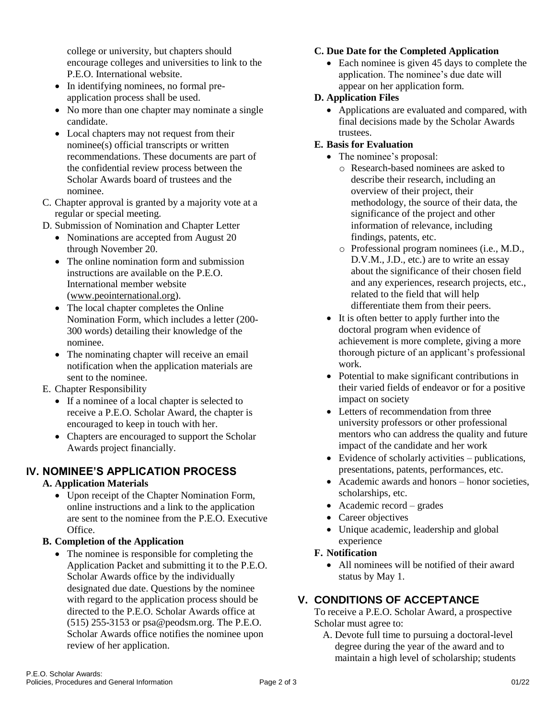college or university, but chapters should encourage colleges and universities to link to the P.E.O. International website.

- In identifying nominees, no formal preapplication process shall be used.
- No more than one chapter may nominate a single candidate.
- Local chapters may not request from their nominee(s) official transcripts or written recommendations. These documents are part of the confidential review process between the Scholar Awards board of trustees and the nominee.
- C. Chapter approval is granted by a majority vote at a regular or special meeting.
- D. Submission of Nomination and Chapter Letter
	- Nominations are accepted from August 20 through November 20.
	- The online nomination form and submission instructions are available on the P.E.O. International member website [\(www.peointernational.org](https://members.peointernational.org/peo-projects/scholar-awards/have-psa-candidate-get-started-now)[\).](http://www.peointernational.org/)
	- The local chapter completes the Online Nomination Form, which includes a letter (200- 300 words) detailing their knowledge of the nominee.
	- The nominating chapter will receive an email notification when the application materials are sent to the nominee.
- E. Chapter Responsibility
	- If a nominee of a local chapter is selected to receive a P.E.O. Scholar Award, the chapter is encouraged to keep in touch with her.
	- Chapters are encouraged to support the Scholar Awards project financially.

# **IV. NOMINEE'S APPLICATION PROCESS**

#### **A. Application Materials**

 Upon receipt of the Chapter Nomination Form, online instructions and a link to the application are sent to the nominee from the  $P E O$ . Executive Office.

#### **B. Completion of the Application**

• The nominee is responsible for completing the Application Packet and submitting it to the P.E.O. Scholar Awards office by the individually designated due date. Questions by the nominee with regard to the application process should be directed to the P.E.O. Scholar Awards office at (515) 255-3153 or [psa@peodsm.org.](mailto:psa@peodsm.org) The P.E.O. Scholar Awards office notifies the nominee upon review of her application.

#### **C. Due Date for the Completed Application**

• Each nominee is given 45 days to complete the application. The nominee's due date will appear on her application form.

#### **D. Application Files**

• Applications are evaluated and compared, with final decisions made by the Scholar Awards trustees.

#### **E. Basis for Evaluation**

- The nominee's proposal:
	- o Research-based nominees are asked to describe their research, including an overview of their project, their methodology, the source of their data, the significance of the project and other information of relevance, including findings, patents, etc.
	- o Professional program nominees (i.e., M.D., D.V.M., J.D., etc.) are to write an essay about the significance of their chosen field and any experiences, research projects, etc., related to the field that will help differentiate them from their peers.
- It is often better to apply further into the doctoral program when evidence of achievement is more complete, giving a more thorough picture of an applicant's professional work.
- Potential to make significant contributions in their varied fields of endeavor or for a positive impact on society
- Letters of recommendation from three university professors or other professional mentors who can address the quality and future impact of the candidate and her work
- Evidence of scholarly activities publications, presentations, patents, performances, etc.
- Academic awards and honors honor societies, scholarships, etc.
- Academic record grades
- Career objectives
- Unique academic, leadership and global experience

#### **F. Notification**

 All nominees will be notified of their award status by May 1.

## **V. CONDITIONS OF ACCEPTANCE**

To receive a P.E.O. Scholar Award, a prospective Scholar must agree to:

A. Devote full time to pursuing a doctoral-level degree during the year of the award and to maintain a high level of scholarship; students